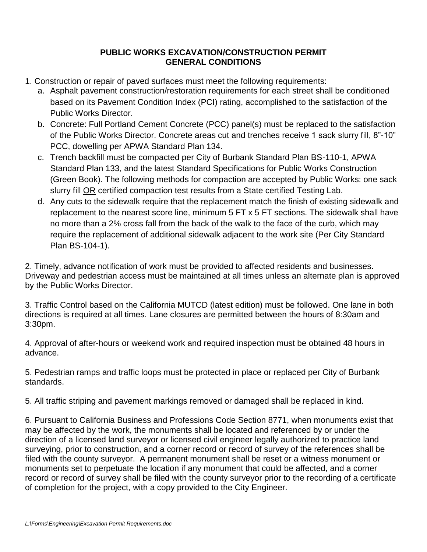## **PUBLIC WORKS EXCAVATION/CONSTRUCTION PERMIT GENERAL CONDITIONS**

- 1. Construction or repair of paved surfaces must meet the following requirements:
	- a. Asphalt pavement construction/restoration requirements for each street shall be conditioned based on its Pavement Condition Index (PCI) rating, accomplished to the satisfaction of the Public Works Director.
	- b. Concrete: Full Portland Cement Concrete (PCC) panel(s) must be replaced to the satisfaction of the Public Works Director. Concrete areas cut and trenches receive 1 sack slurry fill, 8"-10" PCC, dowelling per APWA Standard Plan 134.
	- c. Trench backfill must be compacted per City of Burbank Standard Plan BS-110-1, APWA Standard Plan 133, and the latest Standard Specifications for Public Works Construction (Green Book). The following methods for compaction are accepted by Public Works: one sack slurry fill OR certified compaction test results from a State certified Testing Lab.
	- d. Any cuts to the sidewalk require that the replacement match the finish of existing sidewalk and replacement to the nearest score line, minimum 5 FT x 5 FT sections. The sidewalk shall have no more than a 2% cross fall from the back of the walk to the face of the curb, which may require the replacement of additional sidewalk adjacent to the work site (Per City Standard Plan BS-104-1).

2. Timely, advance notification of work must be provided to affected residents and businesses. Driveway and pedestrian access must be maintained at all times unless an alternate plan is approved by the Public Works Director.

3. Traffic Control based on the California MUTCD (latest edition) must be followed. One lane in both directions is required at all times. Lane closures are permitted between the hours of 8:30am and 3:30pm.

4. Approval of after-hours or weekend work and required inspection must be obtained 48 hours in advance.

5. Pedestrian ramps and traffic loops must be protected in place or replaced per City of Burbank standards.

5. All traffic striping and pavement markings removed or damaged shall be replaced in kind.

6. Pursuant to California Business and Professions Code Section 8771, when monuments exist that may be affected by the work, the monuments shall be located and referenced by or under the direction of a licensed land surveyor or licensed civil engineer legally authorized to practice land surveying, prior to construction, and a corner record or record of survey of the references shall be filed with the county surveyor. A permanent monument shall be reset or a witness monument or monuments set to perpetuate the location if any monument that could be affected, and a corner record or record of survey shall be filed with the county surveyor prior to the recording of a certificate of completion for the project, with a copy provided to the City Engineer.